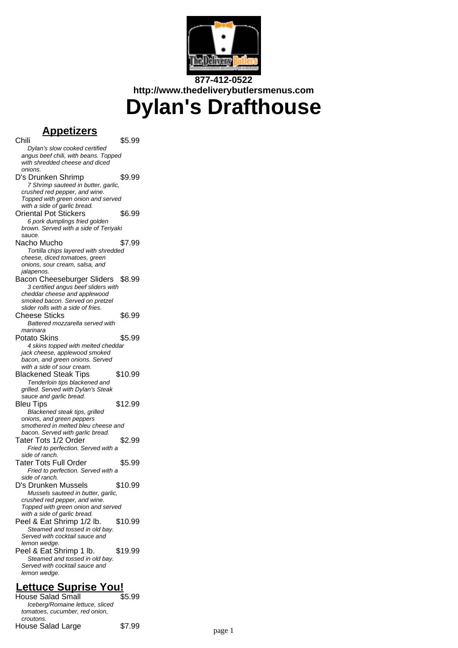

# **877-412-0522 http://www.thedeliverybutlersmenus.com Dylan's Drafthouse**

## **Appetizers**

Chili \$5.99 Dylan's slow cooked certified angus beef chili, with beans. Topped with shredded cheese and diced onions. D's Drunken Shrimp \$9.99 7 Shrimp sauteed in butter, garlic, crushed red pepper, and wine. Topped with green onion and served with a side of garlic bread. Oriental Pot Stickers \$6.99 6 pork dumplings fried golden brown. Served with a side of Teriyaki sauce. Nacho Mucho  $$7.99$ Tortilla chips layered with shredded cheese, diced tomatoes, green onions, sour cream, salsa, and jalapenos. Bacon Cheeseburger Sliders \$8.99 3 certified angus beef sliders with cheddar cheese and applewood smoked bacon. Served on pretzel slider rolls with a side of fries. Cheese Sticks \$6.99 Battered mozzarella served with marinara Potato Skins \$5.99 4 skins topped with melted cheddar jack cheese, applewood smoked bacon, and green onions. Served with a side of sour cream. Blackened Steak Tips \$10.99 Tenderloin tips blackened and grilled. Served with Dylan's Steak sauce and garlic bread. Bleu Tips \$12.99 Blackened steak tips, grilled onions, and green peppers smothered in melted bleu cheese and bacon. Served with garlic bread. Tater Tots 1/2 Order \$2.99 Fried to perfection. Served with a side of ranch. Tater Tots Full Order \$5.99 Fried to perfection. Served with a side of ranch. D's Drunken Mussels \$10.99 Mussels sauteed in butter, garlic, crushed red pepper, and wine. Topped with green onion and served with a side of garlic bread. Peel & Eat Shrimp 1/2 lb. \$10.99 Steamed and tossed in old bay. Served with cocktail sauce and lemon wedge. Peel & Eat Shrimp 1 lb. \$19.99 Steamed and tossed in old bay. Served with cocktail sauce and lemon wedge. **Lettuce Suprise You!**

House Salad Small Iceberg/Romaine lettuce, sliced tomatoes, cucumber, red onion, croutons. House Salad Large \$7.99 bagge 1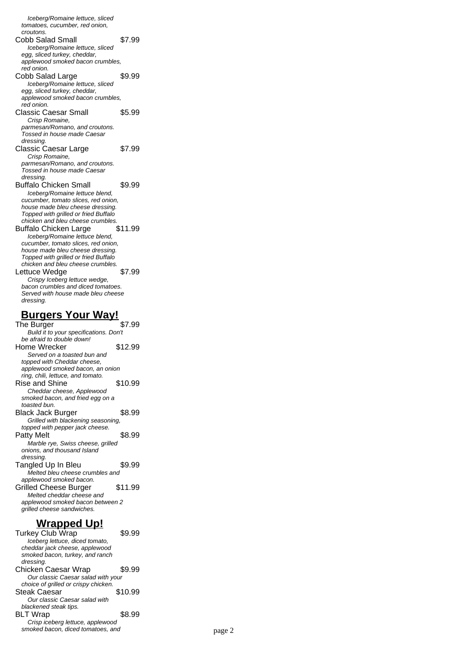Iceberg/Romaine lettuce, sliced tomatoes, cucumber, red onion, croutons. Cobb Salad Small \$7.99 Iceberg/Romaine lettuce, sliced egg, sliced turkey, cheddar, applewood smoked bacon crumbles, red onion. Cobb Salad Large \$9.99 Iceberg/Romaine lettuce, sliced egg, sliced turkey, cheddar, applewood smoked bacon crumbles, red onion. Classic Caesar Small \$5.99 Crisp Romaine, parmesan/Romano, and croutons. Tossed in house made Caesar dressing. Classic Caesar Large \$7.99 Crisp Romaine, parmesan/Romano, and croutons. Tossed in house made Caesar dressing. Buffalo Chicken Small \$9.99 Iceberg/Romaine lettuce blend, cucumber, tomato slices, red onion, house made bleu cheese dressing. Topped with grilled or fried Buffalo chicken and bleu cheese crumbles. Buffalo Chicken Large \$11.99 Iceberg/Romaine lettuce blend, cucumber, tomato slices, red onion, house made bleu cheese dressing. Topped with grilled or fried Buffalo chicken and bleu cheese crumbles. Lettuce Wedge  $$7.99$ Crispy Iceberg lettuce wedge, bacon crumbles and diced tomatoes. Served with house made bleu cheese dressing. **Burgers Your Way!** The Burger \$7.99 Build it to your specifications. Don't

| <b>Dulla it to your specifications. Don't</b> |         |
|-----------------------------------------------|---------|
| be afraid to double down!                     |         |
| Home Wrecker                                  | \$12.99 |
| Served on a toasted bun and                   |         |
| topped with Cheddar cheese,                   |         |
| applewood smoked bacon, an onion              |         |
| ring, chili, lettuce, and tomato.             |         |
| Rise and Shine                                | \$10.99 |
| Cheddar cheese, Applewood                     |         |
| smoked bacon, and fried egg on a              |         |
| toasted bun.                                  |         |
| Black Jack Burger                             | \$8.99  |
| Grilled with blackening seasoning,            |         |
| topped with pepper jack cheese.               |         |
| Patty Melt                                    | \$8.99  |
| Marble rye, Swiss cheese, grilled             |         |
| onions, and thousand Island                   |         |
| dressing.                                     |         |
| Tangled Up In Bleu                            | \$9.99  |
| Melted bleu cheese crumbles and               |         |
| applewood smoked bacon.                       |         |
| Grilled Cheese Burger                         | \$11.99 |
| Melted cheddar cheese and                     |         |
| applewood smoked bacon between 2              |         |
| grilled cheese sandwiches.                    |         |
|                                               |         |

#### **Wrapped Up!**

Turkey Club Wrap \$9.99 Iceberg lettuce, diced tomato, cheddar jack cheese, applewood smoked bacon, turkey, and ranch dressing. Chicken Caesar Wrap \$9.99 Our classic Caesar salad with your choice of grilled or crispy chicken. Steak Caesar \$10.99 Our classic Caesar salad with blackened steak tips. BLT Wrap \$8.99 Crisp iceberg lettuce, applewood smoked bacon, diced tomatoes, and page 2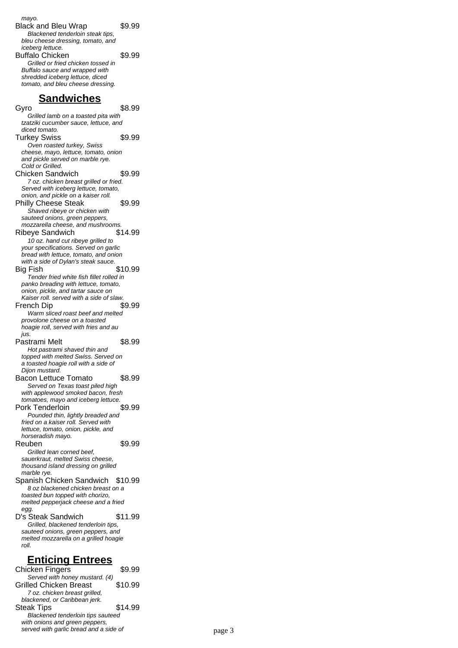mayo. Black and Bleu Wrap \$9.99 Blackened tenderloin steak tips, bleu cheese dressing, tomato, and iceberg lettuce. Buffalo Chicken \$9.99 Grilled or fried chicken tossed in Buffalo sauce and wrapped with shredded iceberg lettuce, diced tomato, and bleu cheese dressing.

#### **Sandwiches**

Gyro \$8.99 Grilled lamb on a toasted pita with tzatziki cucumber sauce, lettuce, and diced tomato. Turkey Swiss \$9.99 Oven roasted turkey, Swiss cheese, mayo, lettuce, tomato, onion and pickle served on marble rye. Cold or Grilled. Chicken Sandwich \$9.99 7 oz. chicken breast grilled or fried. Served with iceberg lettuce, tomato, onion, and pickle on a kaiser roll. Philly Cheese Steak \$9.99 Shaved ribeye or chicken with sauteed onions, green peppers, mozzarella cheese, and mushrooms. Ribeye Sandwich \$14.99 10 oz. hand cut ribeye grilled to your specifications. Served on garlic bread with lettuce, tomato, and onion with a side of Dylan's steak sauce. Big Fish \$10.99 Tender fried white fish fillet rolled in panko breading with lettuce, tomato, onion, pickle, and tartar sauce on Kaiser roll. served with a side of slaw. French Dip \$9.99 Warm sliced roast beef and melted provolone cheese on a toasted hoagie roll, served with fries and au jus. Pastrami Melt \$8.99 Hot pastrami shaved thin and topped with melted Swiss. Served on a toasted hoagie roll with a side of Dijon mustard. Bacon Lettuce Tomato \$8.99 Served on Texas toast piled high with applewood smoked bacon, fresh tomatoes, mayo and iceberg lettuce. Pork Tenderloin \$9.99 Pounded thin, lightly breaded and fried on a kaiser roll. Served with lettuce, tomato, onion, pickle, and horseradish mayo. Reuben \$9.99 Grilled lean corned beef, sauerkraut, melted Swiss cheese, thousand island dressing on grilled marble rye. Spanish Chicken Sandwich \$10.99 8 oz blackened chicken breast on a toasted bun topped with chorizo, melted pepperjack cheese and a fried egg. D's Steak Sandwich \$11.99 Grilled, blackened tenderloin tips, sauteed onions, green peppers, and melted mozzarella on a grilled hoagie roll. **Enticing Entrees**

| Chicken Fingers                        | \$9.99  |        |
|----------------------------------------|---------|--------|
| Served with honey mustard. (4)         |         |        |
| Grilled Chicken Breast                 | \$10.99 |        |
| 7 oz. chicken breast grilled,          |         |        |
| blackened, or Caribbean jerk.          |         |        |
| <b>Steak Tips</b>                      | \$14.99 |        |
| Blackened tenderloin tips sauteed      |         |        |
| with onions and green peppers,         |         |        |
| served with garlic bread and a side of |         | page 3 |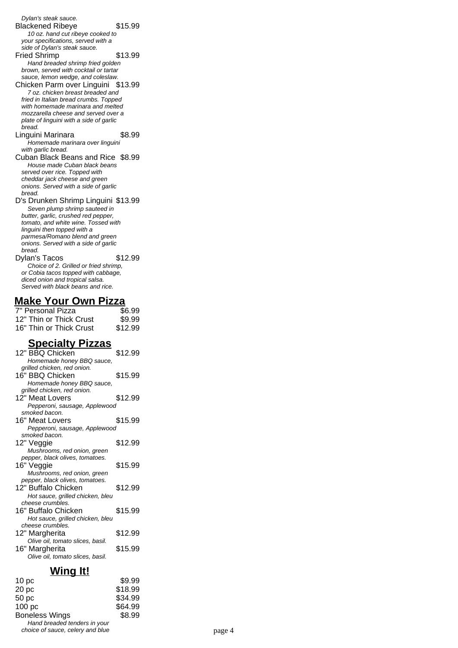Dylan's steak sauce. Blackened Ribeye \$15.99 10 oz. hand cut ribeye cooked to your specifications, served with a side of Dylan's steak sauce. Fried Shrimp \$13.99 Hand breaded shrimp fried golden brown, served with cocktail or tartar sauce, lemon wedge, and coleslaw.

Chicken Parm over Linguini \$13.99 7 oz. chicken breast breaded and fried in Italian bread crumbs. Topped with homemade marinara and melted mozzarella cheese and served over a plate of linguini with a side of garlic bread.

Linguini Marinara \$8.99 Homemade marinara over linguini with garlic bread.

Cuban Black Beans and Rice \$8.99 House made Cuban black beans served over rice. Topped with cheddar jack cheese and green onions. Served with a side of garlic bread.

D's Drunken Shrimp Linguini \$13.99 Seven plump shrimp sauteed in butter, garlic, crushed red pepper, tomato, and white wine. Tossed with linguini then topped with a parmesa/Romano blend and green onions. Served with a side of garlic bread.

Dylan's Tacos \$12.99 Choice of 2. Grilled or fried shrimp, or Cobia tacos topped with cabbage, diced onion and tropical salsa. Served with black beans and rice.

#### **Make Your Own Pizza**

| 7" Personal Pizza       | \$6.99  |
|-------------------------|---------|
| 12" Thin or Thick Crust | \$9.99  |
| 16" Thin or Thick Crust | \$12.99 |

### **Specialty Pizzas**

| 12" BBQ Chicken                  | \$12.99 |
|----------------------------------|---------|
| Homemade honey BBQ sauce,        |         |
| grilled chicken, red onion.      |         |
| 16" BBQ Chicken<br>\$15.99       |         |
| Homemade honey BBQ sauce,        |         |
| grilled chicken, red onion.      |         |
| \$12.99<br>12" Meat Lovers       |         |
| Pepperoni, sausage, Applewood    |         |
| smoked bacon.                    |         |
| \$15.99<br>16" Meat Lovers       |         |
| Pepperoni, sausage, Applewood    |         |
| smoked bacon.                    |         |
| \$12.99<br>12" Veggie            |         |
| Mushrooms, red onion, green      |         |
| pepper, black olives, tomatoes.  |         |
| \$15.99<br>16" Veggie            |         |
| Mushrooms, red onion, green      |         |
| pepper, black olives, tomatoes.  |         |
| 12" Buffalo Chicken<br>\$12.99   |         |
| Hot sauce, grilled chicken, bleu |         |
| cheese crumbles.                 |         |
| 16" Buffalo Chicken<br>\$15.99   |         |
| Hot sauce, grilled chicken, bleu |         |
| cheese crumbles.                 |         |
| \$12.99<br>12" Margherita        |         |
| Olive oil, tomato slices, basil. |         |
| \$15.99<br>16" Margherita        |         |
| Olive oil, tomato slices, basil. |         |

### **Wing It!**

| 10 <sub>pc</sub>                                                 | \$9.99  |        |  |
|------------------------------------------------------------------|---------|--------|--|
| 20 <sub>pc</sub>                                                 | \$18.99 |        |  |
| 50 pc                                                            | \$34.99 |        |  |
| 100 pc                                                           | \$64.99 |        |  |
| <b>Boneless Wings</b>                                            | \$8.99  |        |  |
| Hand breaded tenders in your<br>choice of sauce, celery and blue |         | page 4 |  |